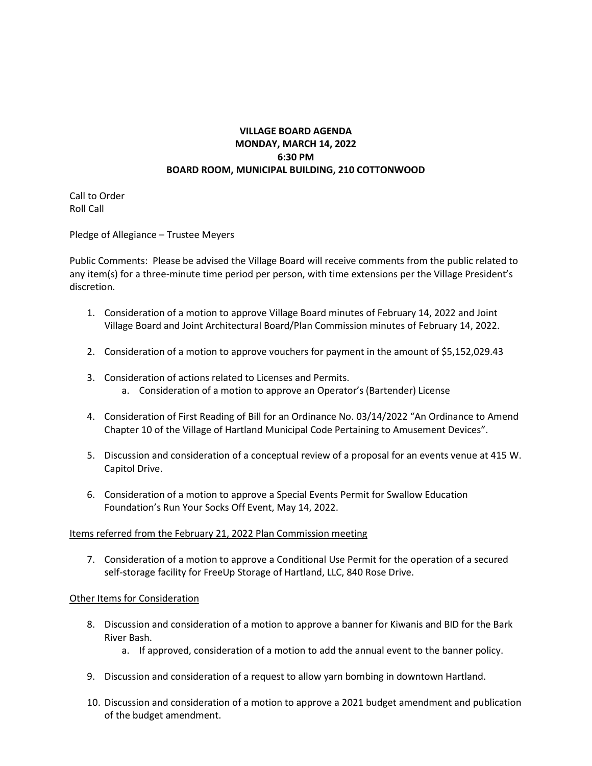## **VILLAGE BOARD AGENDA MONDAY, MARCH 14, 2022 6:30 PM BOARD ROOM, MUNICIPAL BUILDING, 210 COTTONWOOD**

Call to Order Roll Call

Pledge of Allegiance – Trustee Meyers

Public Comments: Please be advised the Village Board will receive comments from the public related to any item(s) for a three-minute time period per person, with time extensions per the Village President's discretion.

- 1. Consideration of a motion to approve Village Board minutes of February 14, 2022 and Joint Village Board and Joint Architectural Board/Plan Commission minutes of February 14, 2022.
- 2. Consideration of a motion to approve vouchers for payment in the amount of \$5,152,029.43
- 3. Consideration of actions related to Licenses and Permits. a. Consideration of a motion to approve an Operator's (Bartender) License
- 4. Consideration of First Reading of Bill for an Ordinance No. 03/14/2022 "An Ordinance to Amend Chapter 10 of the Village of Hartland Municipal Code Pertaining to Amusement Devices".
- 5. Discussion and consideration of a conceptual review of a proposal for an events venue at 415 W. Capitol Drive.
- 6. Consideration of a motion to approve a Special Events Permit for Swallow Education Foundation's Run Your Socks Off Event, May 14, 2022.

## Items referred from the February 21, 2022 Plan Commission meeting

7. Consideration of a motion to approve a Conditional Use Permit for the operation of a secured self-storage facility for FreeUp Storage of Hartland, LLC, 840 Rose Drive.

## Other Items for Consideration

- 8. Discussion and consideration of a motion to approve a banner for Kiwanis and BID for the Bark River Bash.
	- a. If approved, consideration of a motion to add the annual event to the banner policy.
- 9. Discussion and consideration of a request to allow yarn bombing in downtown Hartland.
- 10. Discussion and consideration of a motion to approve a 2021 budget amendment and publication of the budget amendment.